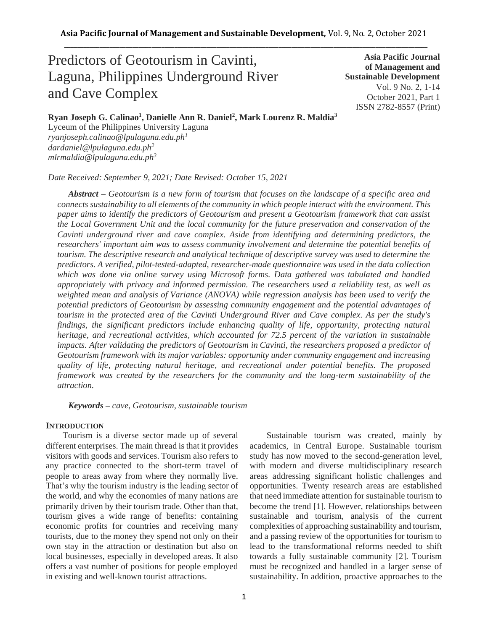# Predictors of Geotourism in Cavinti, Laguna, Philippines Underground River and Cave Complex

**Asia Pacific Journal of Management and Sustainable Development**  Vol. 9 No. 2, 1-14 October 2021, Part 1 ISSN 2782-8557 (Print)

**Ryan Joseph G. Calinao<sup>1</sup> , Danielle Ann R. Daniel<sup>2</sup> , Mark Lourenz R. Maldia<sup>3</sup>**

Lyceum of the Philippines University Laguna *ryanjoseph.calinao@lpulaguna.edu.ph<sup>1</sup> dardaniel@lpulaguna.edu.ph<sup>2</sup> mlrmaldia@lpulaguna.edu.ph<sup>3</sup>*

*Date Received: September 9, 2021; Date Revised: October 15, 2021*

*Abstract – Geotourism is a new form of tourism that focuses on the landscape of a specific area and connects sustainability to all elements of the community in which people interact with the environment. This paper aims to identify the predictors of Geotourism and present a Geotourism framework that can assist the Local Government Unit and the local community for the future preservation and conservation of the Cavinti underground river and cave complex. Aside from identifying and determining predictors, the researchers' important aim was to assess community involvement and determine the potential benefits of tourism. The descriptive research and analytical technique of descriptive survey was used to determine the predictors. A verified, pilot-tested-adapted, researcher-made questionnaire was used in the data collection which was done via online survey using Microsoft forms. Data gathered was tabulated and handled appropriately with privacy and informed permission. The researchers used a reliability test, as well as weighted mean and analysis of Variance (ANOVA) while regression analysis has been used to verify the potential predictors of Geotourism by assessing community engagement and the potential advantages of tourism in the protected area of the Cavinti Underground River and Cave complex. As per the study's findings, the significant predictors include enhancing quality of life, opportunity, protecting natural heritage, and recreational activities, which accounted for 72.5 percent of the variation in sustainable impacts. After validating the predictors of Geotourism in Cavinti, the researchers proposed a predictor of Geotourism framework with its major variables: opportunity under community engagement and increasing quality of life, protecting natural heritage, and recreational under potential benefits. The proposed framework was created by the researchers for the community and the long-term sustainability of the attraction.*

*Keywords – cave, Geotourism, sustainable tourism*

## **INTRODUCTION**

Tourism is a diverse sector made up of several different enterprises. The main thread is that it provides visitors with goods and services. Tourism also refers to any practice connected to the short-term travel of people to areas away from where they normally live. That's why the tourism industry is the leading sector of the world, and why the economies of many nations are primarily driven by their tourism trade. Other than that, tourism gives a wide range of benefits: containing economic profits for countries and receiving many tourists, due to the money they spend not only on their own stay in the attraction or destination but also on local businesses, especially in developed areas. It also offers a vast number of positions for people employed in existing and well-known tourist attractions.

Sustainable tourism was created, mainly by academics, in Central Europe. Sustainable tourism study has now moved to the second-generation level, with modern and diverse multidisciplinary research areas addressing significant holistic challenges and opportunities. Twenty research areas are established that need immediate attention for sustainable tourism to become the trend [1]. However, relationships between sustainable and tourism, analysis of the current complexities of approaching sustainability and tourism, and a passing review of the opportunities for tourism to lead to the transformational reforms needed to shift towards a fully sustainable community [2]. Tourism must be recognized and handled in a larger sense of sustainability. In addition, proactive approaches to the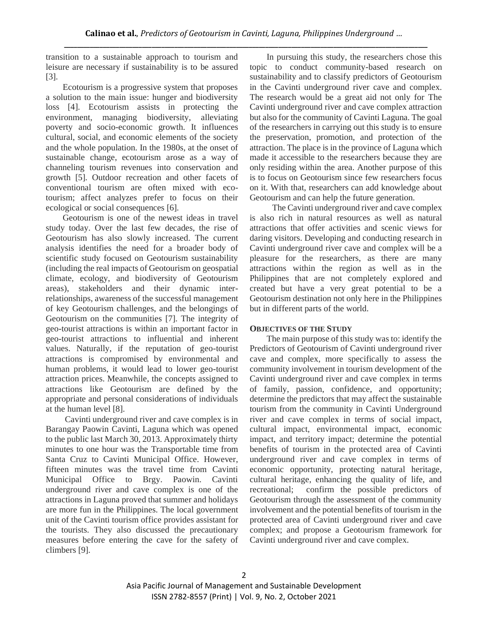transition to a sustainable approach to tourism and leisure are necessary if sustainability is to be assured [3].

Ecotourism is a progressive system that proposes a solution to the main issue: hunger and biodiversity loss [4]. Ecotourism assists in protecting the environment, managing biodiversity, alleviating poverty and socio-economic growth. It influences cultural, social, and economic elements of the society and the whole population. In the 1980s, at the onset of sustainable change, ecotourism arose as a way of channeling tourism revenues into conservation and growth [5]. Outdoor recreation and other facets of conventional tourism are often mixed with ecotourism; affect analyzes prefer to focus on their ecological or social consequences [6].

Geotourism is one of the newest ideas in travel study today. Over the last few decades, the rise of Geotourism has also slowly increased. The current analysis identifies the need for a broader body of scientific study focused on Geotourism sustainability (including the real impacts of Geotourism on geospatial climate, ecology, and biodiversity of Geotourism areas), stakeholders and their dynamic interrelationships, awareness of the successful management of key Geotourism challenges, and the belongings of Geotourism on the communities [7]. The integrity of geo-tourist attractions is within an important factor in geo-tourist attractions to influential and inherent values. Naturally, if the reputation of geo-tourist attractions is compromised by environmental and human problems, it would lead to lower geo-tourist attraction prices. Meanwhile, the concepts assigned to attractions like Geotourism are defined by the appropriate and personal considerations of individuals at the human level [8].

Cavinti underground river and cave complex is in Barangay Paowin Cavinti, Laguna which was opened to the public last March 30, 2013. Approximately thirty minutes to one hour was the Transportable time from Santa Cruz to Cavinti Municipal Office. However, fifteen minutes was the travel time from Cavinti Municipal Office to Brgy. Paowin. Cavinti underground river and cave complex is one of the attractions in Laguna proved that summer and holidays are more fun in the Philippines. The local government unit of the Cavinti tourism office provides assistant for the tourists. They also discussed the precautionary measures before entering the cave for the safety of climbers [9].

In pursuing this study, the researchers chose this topic to conduct community-based research on sustainability and to classify predictors of Geotourism in the Cavinti underground river cave and complex. The research would be a great aid not only for The Cavinti underground river and cave complex attraction but also for the community of Cavinti Laguna. The goal of the researchers in carrying out this study is to ensure the preservation, promotion, and protection of the attraction. The place is in the province of Laguna which made it accessible to the researchers because they are only residing within the area. Another purpose of this is to focus on Geotourism since few researchers focus on it. With that, researchers can add knowledge about Geotourism and can help the future generation.

The Cavinti underground river and cave complex is also rich in natural resources as well as natural attractions that offer activities and scenic views for daring visitors. Developing and conducting research in Cavinti underground river cave and complex will be a pleasure for the researchers, as there are many attractions within the region as well as in the Philippines that are not completely explored and created but have a very great potential to be a Geotourism destination not only here in the Philippines but in different parts of the world.

## **OBJECTIVES OF THE STUDY**

The main purpose of this study was to: identify the Predictors of Geotourism of Cavinti underground river cave and complex, more specifically to assess the community involvement in tourism development of the Cavinti underground river and cave complex in terms of family, passion, confidence, and opportunity; determine the predictors that may affect the sustainable tourism from the community in Cavinti Underground river and cave complex in terms of social impact, cultural impact, environmental impact, economic impact, and territory impact; determine the potential benefits of tourism in the protected area of Cavinti underground river and cave complex in terms of economic opportunity, protecting natural heritage, cultural heritage, enhancing the quality of life, and recreational; confirm the possible predictors of Geotourism through the assessment of the community involvement and the potential benefits of tourism in the protected area of Cavinti underground river and cave complex; and propose a Geotourism framework for Cavinti underground river and cave complex.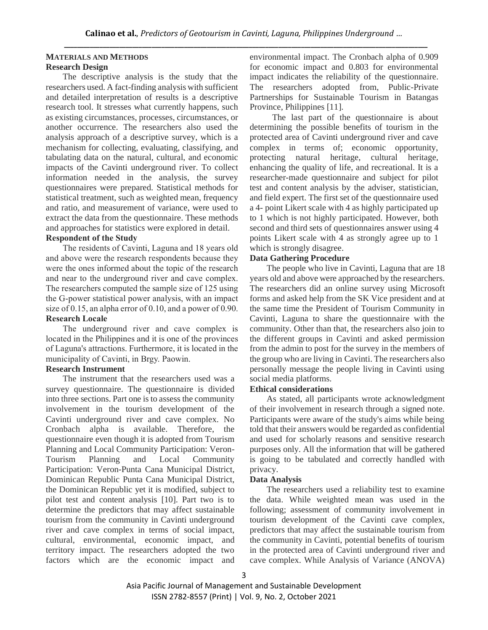## **MATERIALS AND METHODS Research Design**

The descriptive analysis is the study that the researchers used. A fact-finding analysis with sufficient and detailed interpretation of results is a descriptive research tool. It stresses what currently happens, such as existing circumstances, processes, circumstances, or another occurrence. The researchers also used the analysis approach of a descriptive survey, which is a mechanism for collecting, evaluating, classifying, and tabulating data on the natural, cultural, and economic impacts of the Cavinti underground river. To collect information needed in the analysis, the survey questionnaires were prepared. Statistical methods for statistical treatment, such as weighted mean, frequency and ratio, and measurement of variance, were used to extract the data from the questionnaire. These methods and approaches for statistics were explored in detail.

## **Respondent of the Study**

The residents of Cavinti, Laguna and 18 years old and above were the research respondents because they were the ones informed about the topic of the research and near to the underground river and cave complex. The researchers computed the sample size of 125 using the G-power statistical power analysis, with an impact size of 0.15, an alpha error of 0.10, and a power of 0.90. **Research Locale**

## The underground river and cave complex is located in the Philippines and it is one of the provinces of Laguna's attractions. Furthermore, it is located in the municipality of Cavinti, in Brgy. Paowin.

## **Research Instrument**

The instrument that the researchers used was a survey questionnaire. The questionnaire is divided into three sections. Part one is to assess the community involvement in the tourism development of the Cavinti underground river and cave complex. No Cronbach alpha is available. Therefore, the questionnaire even though it is adopted from Tourism Planning and Local Community Participation: Veron-Tourism Planning and Local Community Participation: Veron-Punta Cana Municipal District, Dominican Republic Punta Cana Municipal District, the Dominican Republic yet it is modified, subject to pilot test and content analysis [10]. Part two is to determine the predictors that may affect sustainable tourism from the community in Cavinti underground river and cave complex in terms of social impact, cultural, environmental, economic impact, and territory impact. The researchers adopted the two factors which are the economic impact and

environmental impact. The Cronbach alpha of 0.909 for economic impact and 0.803 for environmental impact indicates the reliability of the questionnaire. The researchers adopted from, Public-Private Partnerships for Sustainable Tourism in Batangas Province, Philippines [11].

The last part of the questionnaire is about determining the possible benefits of tourism in the protected area of Cavinti underground river and cave complex in terms of; economic opportunity, protecting natural heritage, cultural heritage, enhancing the quality of life, and recreational. It is a researcher-made questionnaire and subject for pilot test and content analysis by the adviser, statistician, and field expert. The first set of the questionnaire used a 4- point Likert scale with 4 as highly participated up to 1 which is not highly participated. However, both second and third sets of questionnaires answer using 4 points Likert scale with 4 as strongly agree up to 1 which is strongly disagree.

## **Data Gathering Procedure**

The people who live in Cavinti, Laguna that are 18 years old and above were approached by the researchers. The researchers did an online survey using Microsoft forms and asked help from the SK Vice president and at the same time the President of Tourism Community in Cavinti, Laguna to share the questionnaire with the community. Other than that, the researchers also join to the different groups in Cavinti and asked permission from the admin to post for the survey in the members of the group who are living in Cavinti. The researchers also personally message the people living in Cavinti using social media platforms.

## **Ethical considerations**

As stated, all participants wrote acknowledgment of their involvement in research through a signed note. Participants were aware of the study's aims while being told that their answers would be regarded as confidential and used for scholarly reasons and sensitive research purposes only. All the information that will be gathered is going to be tabulated and correctly handled with privacy.

## **Data Analysis**

The researchers used a reliability test to examine the data. While weighted mean was used in the following; assessment of community involvement in tourism development of the Cavinti cave complex, predictors that may affect the sustainable tourism from the community in Cavinti, potential benefits of tourism in the protected area of Cavinti underground river and cave complex. While Analysis of Variance (ANOVA)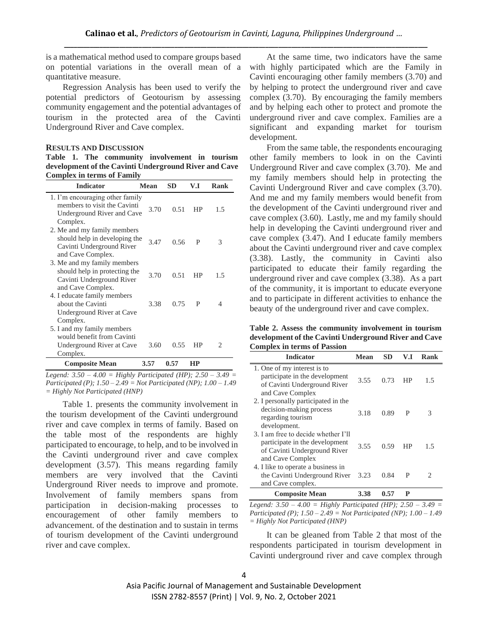is a mathematical method used to compare groups based on potential variations in the overall mean of a quantitative measure.

Regression Analysis has been used to verify the potential predictors of Geotourism by assessing community engagement and the potential advantages of tourism in the protected area of the Cavinti Underground River and Cave complex.

#### **RESULTS AND DISCUSSION**

**Table 1. The community involvement in tourism development of the Cavinti Underground River and Cave Complex in terms of Family**

| <b>Indicator</b>                                                                                               | <b>Mean</b> | <b>SD</b> | V.I       | Rank |
|----------------------------------------------------------------------------------------------------------------|-------------|-----------|-----------|------|
| 1. I'm encouraging other family<br>members to visit the Cavinti<br>Underground River and Cave<br>Complex.      | 3.70        | 0.51      | <b>HP</b> | 1.5  |
| 2. Me and my family members<br>should help in developing the<br>Cavinti Underground River<br>and Cave Complex. | 3.47        | 0.56      | P         | 3    |
| 3. Me and my family members<br>should help in protecting the<br>Cavinti Underground River<br>and Cave Complex. | 3.70        | 0.51      | HP        | 1.5  |
| 4. I educate family members<br>about the Cavinti<br>Underground River at Cave<br>Complex.                      | 3.38        | 0.75      | P         | 4    |
| 5. I and my family members<br>would benefit from Cavinti<br>Underground River at Cave<br>Complex.              | 3.60        | 0.55      | HP        | 2    |
| <b>Composite Mean</b>                                                                                          | 3.57        | 0.57      | HP        |      |

*Legend: 3.50 – 4.00 = Highly Participated (HP); 2.50 – 3.49 = Participated (P); 1.50 – 2.49 = Not Participated (NP); 1.00 – 1.49 = Highly Not Participated (HNP)*

Table 1. presents the community involvement in the tourism development of the Cavinti underground river and cave complex in terms of family. Based on the table most of the respondents are highly participated to encourage, to help, and to be involved in the Cavinti underground river and cave complex development (3.57). This means regarding family members are very involved that the Cavinti Underground River needs to improve and promote. Involvement of family members spans from participation in decision-making processes to encouragement of other family members to advancement. of the destination and to sustain in terms of tourism development of the Cavinti underground river and cave complex.

At the same time, two indicators have the same with highly participated which are the Family in Cavinti encouraging other family members (3.70) and by helping to protect the underground river and cave complex (3.70). By encouraging the family members and by helping each other to protect and promote the underground river and cave complex. Families are a significant and expanding market for tourism development.

From the same table, the respondents encouraging other family members to look in on the Cavinti Underground River and cave complex (3.70). Me and my family members should help in protecting the Cavinti Underground River and cave complex (3.70). And me and my family members would benefit from the development of the Cavinti underground river and cave complex (3.60). Lastly, me and my family should help in developing the Cavinti underground river and cave complex (3.47). And I educate family members about the Cavinti underground river and cave complex (3.38). Lastly, the community in Cavinti also participated to educate their family regarding the underground river and cave complex (3.38). As a part of the community, it is important to educate everyone and to participate in different activities to enhance the beauty of the underground river and cave complex.

**Table 2. Assess the community involvement in tourism development of the Cavinti Underground River and Cave Complex in terms of Passion**

| <b>Indicator</b>                                                                                                          | Mean | <b>SD</b> | V.I | Rank |
|---------------------------------------------------------------------------------------------------------------------------|------|-----------|-----|------|
| 1. One of my interest is to<br>participate in the development<br>of Cavinti Underground River<br>and Cave Complex         | 3.55 | 0.73      | HP  | 1.5  |
| 2. I personally participated in the<br>decision-making process<br>regarding tourism<br>development.                       | 3.18 | 0.89      | P   | 3    |
| 3. I am free to decide whether I'll<br>participate in the development<br>of Cavinti Underground River<br>and Cave Complex | 3.55 | 0.59      | HP  | 1.5  |
| 4. I like to operate a business in<br>the Cavinti Underground River<br>and Cave complex.                                  | 3.23 | 0.84      | P   | 2    |
| <b>Composite Mean</b>                                                                                                     | 3.38 | 0.57      | р   |      |

*Legend: 3.50 – 4.00 = Highly Participated (HP); 2.50 – 3.49 = Participated (P); 1.50 – 2.49 = Not Participated (NP); 1.00 – 1.49 = Highly Not Participated (HNP)*

It can be gleaned from Table 2 that most of the respondents participated in tourism development in Cavinti underground river and cave complex through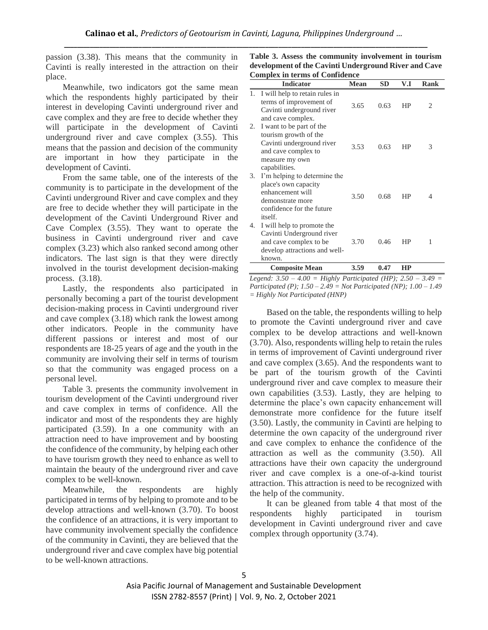passion (3.38). This means that the community in Cavinti is really interested in the attraction on their place.

Meanwhile, two indicators got the same mean which the respondents highly participated by their interest in developing Cavinti underground river and cave complex and they are free to decide whether they will participate in the development of Cavinti underground river and cave complex (3.55). This means that the passion and decision of the community are important in how they participate in the development of Cavinti.

From the same table, one of the interests of the community is to participate in the development of the Cavinti underground River and cave complex and they are free to decide whether they will participate in the development of the Cavinti Underground River and Cave Complex (3.55). They want to operate the business in Cavinti underground river and cave complex (3.23) which also ranked second among other indicators. The last sign is that they were directly involved in the tourist development decision-making process. (3.18).

Lastly, the respondents also participated in personally becoming a part of the tourist development decision-making process in Cavinti underground river and cave complex (3.18) which rank the lowest among other indicators. People in the community have different passions or interest and most of our respondents are 18-25 years of age and the youth in the community are involving their self in terms of tourism so that the community was engaged process on a personal level.

Table 3. presents the community involvement in tourism development of the Cavinti underground river and cave complex in terms of confidence. All the indicator and most of the respondents they are highly participated (3.59). In a one community with an attraction need to have improvement and by boosting the confidence of the community, by helping each other to have tourism growth they need to enhance as well to maintain the beauty of the underground river and cave complex to be well-known.

Meanwhile, the respondents are highly participated in terms of by helping to promote and to be develop attractions and well-known (3.70). To boost the confidence of an attractions, it is very important to have community involvement specially the confidence of the community in Cavinti, they are believed that the underground river and cave complex have big potential to be well-known attractions.

| Table 3. Assess the community involvement in tourism  |
|-------------------------------------------------------|
| development of the Cavinti Underground River and Cave |
| <b>Complex in terms of Confidence</b>                 |

|    | <b>Indicator</b>                                                                                                                         | <b>Mean</b> | <b>SD</b> | V.I | <b>Rank</b> |
|----|------------------------------------------------------------------------------------------------------------------------------------------|-------------|-----------|-----|-------------|
| 1. | I will help to retain rules in<br>terms of improvement of<br>Cavinti underground river<br>and cave complex.                              | 3.65        | 0.63      | HP  | 2           |
| 2. | I want to be part of the<br>tourism growth of the<br>Cavinti underground river<br>and cave complex to<br>measure my own<br>capabilities. | 3.53        | 0.63      | HP  | 3           |
| 3. | I'm helping to determine the<br>place's own capacity<br>enhancement will<br>demonstrate more<br>confidence for the future<br>itself.     | 3.50        | 0.68      | HP  | 4           |
| 4. | I will help to promote the<br>Cavinti Underground river<br>and cave complex to be<br>develop attractions and well-<br>known.             | 3.70        | 0.46      | HP  | 1           |
|    | <b>Composite Mean</b>                                                                                                                    | 3.59        | 0.47      | HP  |             |

*Legend: 3.50 – 4.00 = Highly Participated (HP); 2.50 – 3.49 = Participated (P); 1.50 – 2.49 = Not Participated (NP); 1.00 – 1.49 = Highly Not Participated (HNP)*

Based on the table, the respondents willing to help to promote the Cavinti underground river and cave complex to be develop attractions and well-known (3.70). Also, respondents willing help to retain the rules in terms of improvement of Cavinti underground river and cave complex (3.65). And the respondents want to be part of the tourism growth of the Cavinti underground river and cave complex to measure their own capabilities (3.53). Lastly, they are helping to determine the place's own capacity enhancement will demonstrate more confidence for the future itself (3.50). Lastly, the community in Cavinti are helping to determine the own capacity of the underground river and cave complex to enhance the confidence of the attraction as well as the community (3.50). All attractions have their own capacity the underground river and cave complex is a one-of-a-kind tourist attraction. This attraction is need to be recognized with the help of the community.

It can be gleaned from table 4 that most of the respondents highly participated in tourism development in Cavinti underground river and cave complex through opportunity (3.74).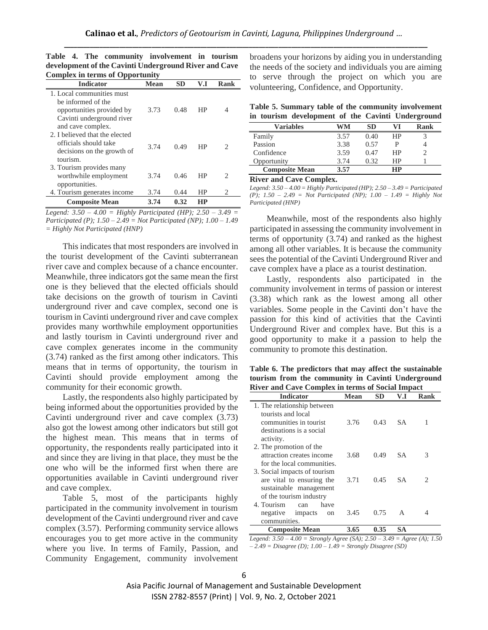| Complex in terms or Opportunity |             |           |           |                             |  |  |
|---------------------------------|-------------|-----------|-----------|-----------------------------|--|--|
| <b>Indicator</b>                | <b>Mean</b> | <b>SD</b> | V.I       | Rank                        |  |  |
| 1. Local communities must       |             |           |           |                             |  |  |
| be informed of the              |             |           |           |                             |  |  |
| opportunities provided by       | 3.73        | 0.48      | <b>HP</b> | 4                           |  |  |
| Cavinti underground river       |             |           |           |                             |  |  |
| and cave complex.               |             |           |           |                             |  |  |
| 2. I believed that the elected  |             |           |           |                             |  |  |
| officials should take           | 3.74        | 0.49      | НP        | $\mathcal{D}_{\mathcal{L}}$ |  |  |
| decisions on the growth of      |             |           |           |                             |  |  |
| tourism.                        |             |           |           |                             |  |  |
| 3. Tourism provides many        |             |           |           |                             |  |  |
| worthwhile employment           | 3.74        | 0.46      | НP        | 2                           |  |  |
| opportunities.                  |             |           |           |                             |  |  |
| 4. Tourism generates income     | 3.74        | 0.44      | HP        | 2                           |  |  |
| <b>Composite Mean</b>           | 3.74        | 0.32      | HР        |                             |  |  |

**Table 4. The community involvement in tourism development of the Cavinti Underground River and Cave Complex in terms of Opportunity**

*Legend: 3.50 – 4.00 = Highly Participated (HP); 2.50 – 3.49 = Participated (P); 1.50 – 2.49 = Not Participated (NP); 1.00 – 1.49 = Highly Not Participated (HNP)*

This indicates that most responders are involved in the tourist development of the Cavinti subterranean river cave and complex because of a chance encounter. Meanwhile, three indicators got the same mean the first one is they believed that the elected officials should take decisions on the growth of tourism in Cavinti underground river and cave complex, second one is tourism in Cavinti underground river and cave complex provides many worthwhile employment opportunities and lastly tourism in Cavinti underground river and cave complex generates income in the community (3.74) ranked as the first among other indicators. This means that in terms of opportunity, the tourism in Cavinti should provide employment among the community for their economic growth.

Lastly, the respondents also highly participated by being informed about the opportunities provided by the Cavinti underground river and cave complex (3.73) also got the lowest among other indicators but still got the highest mean. This means that in terms of opportunity, the respondents really participated into it and since they are living in that place, they must be the one who will be the informed first when there are opportunities available in Cavinti underground river and cave complex.

Table 5, most of the participants highly participated in the community involvement in tourism development of the Cavinti underground river and cave complex (3.57). Performing community service allows encourages you to get more active in the community where you live. In terms of Family, Passion, and Community Engagement, community involvement broadens your horizons by aiding you in understanding the needs of the society and individuals you are aiming to serve through the project on which you are volunteering, Confidence, and Opportunity.

|  |  |  | Table 5. Summary table of the community involvement |
|--|--|--|-----------------------------------------------------|
|  |  |  | in tourism development of the Cavinti Underground   |

| Variables             | WM   | SD   |    | Rank |
|-----------------------|------|------|----|------|
| Family                | 3.57 | 0.40 | ΗP |      |
| Passion               | 3.38 | 0.57 |    |      |
| Confidence            | 3.59 | 0.47 | HP |      |
| Opportunity           | 3.74 | 0.32 | ΗP |      |
| <b>Composite Mean</b> | 3.57 |      | НP |      |

**River and Cave Complex.**

*Legend: 3.50 – 4.00 = Highly Participated (HP); 2.50 – 3.49 = Participated (P); 1.50 – 2.49 = Not Participated (NP); 1.00 – 1.49 = Highly Not Participated (HNP)*

Meanwhile, most of the respondents also highly participated in assessing the community involvement in terms of opportunity (3.74) and ranked as the highest among all other variables. It is because the community sees the potential of the Cavinti Underground River and cave complex have a place as a tourist destination.

Lastly, respondents also participated in the community involvement in terms of passion or interest (3.38) which rank as the lowest among all other variables. Some people in the Cavinti don't have the passion for this kind of activities that the Cavinti Underground River and complex have. But this is a good opportunity to make it a passion to help the community to promote this destination.

**Table 6. The predictors that may affect the sustainable tourism from the community in Cavinti Underground River and Cave Complex in terms of Social Impact**

| <b>Indicator</b>                                                                               | <b>Mean</b> | SD   | V.I       | Rank |
|------------------------------------------------------------------------------------------------|-------------|------|-----------|------|
| 1. The relationship between<br>tourists and local                                              |             |      |           |      |
| communities in tourist<br>destinations is a social                                             | 3.76        | 0.43 | <b>SA</b> |      |
| activity.                                                                                      |             |      |           |      |
| 2. The promotion of the<br>attraction creates income<br>for the local communities.             | 3.68        | 0.49 | <b>SA</b> | 3    |
| 3. Social impacts of tourism<br>are vital to ensuring the<br>sustainable management            | 3.71        | 0.45 | <b>SA</b> | 2.   |
| of the tourism industry<br>4. Tourism<br>have<br>can<br>negative impacts<br>on<br>communities. | 3.45        | 0.75 | A         | 4    |
| <b>Composite Mean</b>                                                                          | 3.65        | 0.35 | SА        |      |

*Legend: 3.50 – 4.00 = Strongly Agree (SA); 2.50 – 3.49 = Agree (A); 1.50 – 2.49 = Disagree (D); 1.00 – 1.49 = Strongly Disagree (SD)*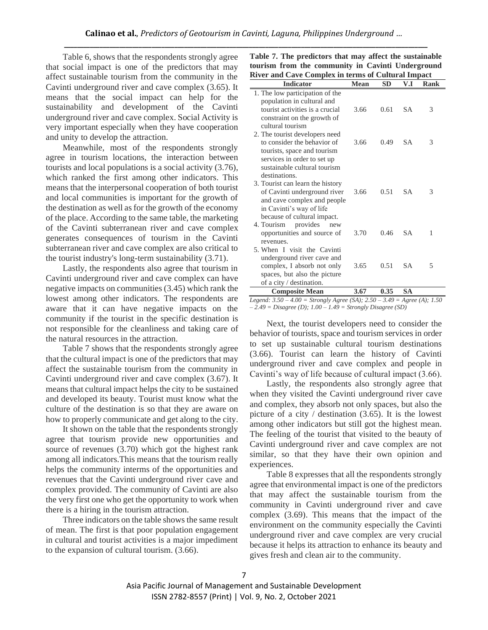Table 6, shows that the respondents strongly agree that social impact is one of the predictors that may affect sustainable tourism from the community in the Cavinti underground river and cave complex (3.65). It means that the social impact can help for the sustainability and development of the Cavinti underground river and cave complex. Social Activity is very important especially when they have cooperation and unity to develop the attraction.

Meanwhile, most of the respondents strongly agree in tourism locations, the interaction between tourists and local populations is a social activity (3.76), which ranked the first among other indicators. This means that the interpersonal cooperation of both tourist and local communities is important for the growth of the destination as well as for the growth of the economy of the place. According to the same table, the marketing of the Cavinti subterranean river and cave complex generates consequences of tourism in the Cavinti subterranean river and cave complex are also critical to the tourist industry's long-term sustainability (3.71).

Lastly, the respondents also agree that tourism in Cavinti underground river and cave complex can have negative impacts on communities (3.45) which rank the lowest among other indicators. The respondents are aware that it can have negative impacts on the community if the tourist in the specific destination is not responsible for the cleanliness and taking care of the natural resources in the attraction.

Table 7 shows that the respondents strongly agree that the cultural impact is one of the predictors that may affect the sustainable tourism from the community in Cavinti underground river and cave complex (3.67). It means that cultural impact helps the city to be sustained and developed its beauty. Tourist must know what the culture of the destination is so that they are aware on how to properly communicate and get along to the city.

It shown on the table that the respondents strongly agree that tourism provide new opportunities and source of revenues (3.70) which got the highest rank among all indicators.This means that the tourism really helps the community interms of the opportunities and revenues that the Cavinti underground river cave and complex provided. The community of Cavinti are also the very first one who get the opportunity to work when there is a hiring in the tourism attraction.

Three indicators on the table shows the same result of mean. The first is that poor population engagement in cultural and tourist activities is a major impediment to the expansion of cultural tourism. (3.66).

| <b>Indicator</b>                                              | <b>Mean</b> | SD   | V.I       | <b>Rank</b> |
|---------------------------------------------------------------|-------------|------|-----------|-------------|
| 1. The low participation of the<br>population in cultural and |             |      |           |             |
| tourist activities is a crucial                               | 3.66        | 0.61 | SА        | 3           |
| constraint on the growth of<br>cultural tourism               |             |      |           |             |
| 2. The tourist developers need                                |             |      |           |             |
| to consider the behavior of<br>tourists, space and tourism    | 3.66        | 0.49 | S A       | 3           |
| services in order to set up                                   |             |      |           |             |
| sustainable cultural tourism<br>destinations.                 |             |      |           |             |
| 3. Tourist can learn the history                              |             |      |           |             |
| of Cavinti underground river                                  | 3.66        | 0.51 | <b>SA</b> | 3           |
| and cave complex and people<br>in Cavinti's way of life       |             |      |           |             |
| because of cultural impact.                                   |             |      |           |             |
| 4. Tourism<br>provides<br>new                                 |             |      |           |             |
| opportunities and source of<br>revenues.                      | 3.70        | 0.46 | S A       | 1           |
| 5. When I visit the Cavinti                                   |             |      |           |             |
| underground river cave and                                    |             |      |           |             |
| complex, I absorb not only                                    | 3.65        | 0.51 | SА        | 5           |
| spaces, but also the picture                                  |             |      |           |             |
| of a city / destination.                                      |             |      |           |             |
| <b>Composite Mean</b>                                         | 3.67        | 0.35 | SА        |             |

**Table 7. The predictors that may affect the sustainable tourism from the community in Cavinti Underground River and Cave Complex in terms of Cultural Impact**

*Legend: 3.50 – 4.00 = Strongly Agree (SA); 2.50 – 3.49 = Agree (A); 1.50 – 2.49 = Disagree (D); 1.00 – 1.49 = Strongly Disagree (SD)*

Next, the tourist developers need to consider the behavior of tourists, space and tourism services in order to set up sustainable cultural tourism destinations (3.66). Tourist can learn the history of Cavinti underground river and cave complex and people in Cavinti's way of life because of cultural impact (3.66).

Lastly, the respondents also strongly agree that when they visited the Cavinti underground river cave and complex, they absorb not only spaces, but also the picture of a city / destination (3.65). It is the lowest among other indicators but still got the highest mean. The feeling of the tourist that visited to the beauty of Cavinti underground river and cave complex are not similar, so that they have their own opinion and experiences.

Table 8 expresses that all the respondents strongly agree that environmental impact is one of the predictors that may affect the sustainable tourism from the community in Cavinti underground river and cave complex (3.69). This means that the impact of the environment on the community especially the Cavinti underground river and cave complex are very crucial because it helps its attraction to enhance its beauty and gives fresh and clean air to the community.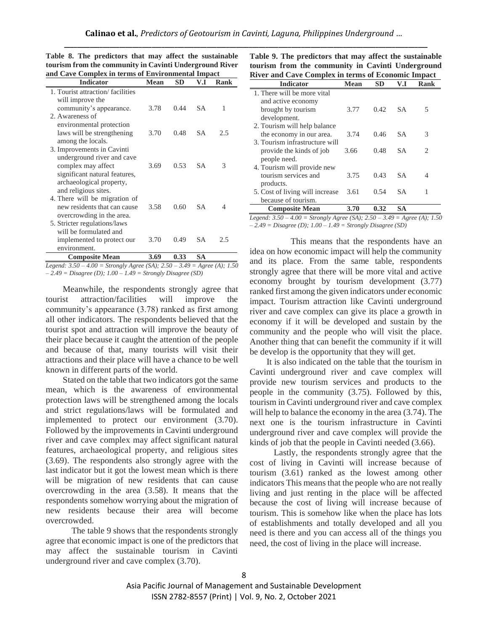| <b>Indicator</b>                                              | <b>Mean</b> | <b>SD</b> | V.I       | <b>Rank</b> |
|---------------------------------------------------------------|-------------|-----------|-----------|-------------|
| 1. Tourist attraction/facilities                              |             |           |           |             |
| will improve the                                              |             |           |           |             |
| community's appearance.                                       | 3.78        | 0.44      | SА        | 1           |
| 2. Awareness of                                               |             |           |           |             |
| environmental protection                                      |             |           |           |             |
| laws will be strengthening                                    | 3.70        | 0.48      | SА        | 2.5         |
| among the locals.                                             |             |           |           |             |
| 3. Improvements in Cavinti                                    |             |           |           |             |
| underground river and cave                                    |             |           |           |             |
| complex may affect                                            | 3.69        | 0.53      | SА        | 3           |
| significant natural features,                                 |             |           |           |             |
| archaeological property,                                      |             |           |           |             |
| and religious sites.                                          |             |           |           |             |
| 4. There will be migration of<br>new residents that can cause | 3.58        | 0.60      | SА        | 4           |
|                                                               |             |           |           |             |
| overcrowding in the area.<br>5. Stricter regulations/laws     |             |           |           |             |
| will be formulated and                                        |             |           |           |             |
| implemented to protect our                                    | 3.70        | 0.49      | SА        | 2.5         |
| environment.                                                  |             |           |           |             |
| <b>Composite Mean</b>                                         | 3.69        | 0.33      | <b>SA</b> |             |

**Table 8. The predictors that may affect the sustainable tourism from the community in Cavinti Underground River and Cave Complex in terms of Environmental Impact**

*Legend: 3.50 – 4.00 = Strongly Agree (SA); 2.50 – 3.49 = Agree (A); 1.50 – 2.49 = Disagree (D); 1.00 – 1.49 = Strongly Disagree (SD)*

Meanwhile, the respondents strongly agree that tourist attraction/facilities will improve the community's appearance (3.78) ranked as first among all other indicators. The respondents believed that the tourist spot and attraction will improve the beauty of their place because it caught the attention of the people and because of that, many tourists will visit their attractions and their place will have a chance to be well known in different parts of the world.

Stated on the table that two indicators got the same mean, which is the awareness of environmental protection laws will be strengthened among the locals and strict regulations/laws will be formulated and implemented to protect our environment (3.70). Followed by the improvements in Cavinti underground river and cave complex may affect significant natural features, archaeological property, and religious sites (3.69). The respondents also strongly agree with the last indicator but it got the lowest mean which is there will be migration of new residents that can cause overcrowding in the area (3.58). It means that the respondents somehow worrying about the migration of new residents because their area will become overcrowded.

 The table 9 shows that the respondents strongly agree that economic impact is one of the predictors that may affect the sustainable tourism in Cavinti underground river and cave complex (3.70).

**Table 9. The predictors that may affect the sustainable tourism from the community in Cavinti Underground River and Cave Complex in terms of Economic Impact**

| <b>Indicator</b>                | <b>Mean</b> | SD   | V.I       | Rank                        |
|---------------------------------|-------------|------|-----------|-----------------------------|
| 1. There will be more vital     |             |      |           |                             |
| and active economy              |             |      |           |                             |
| brought by tourism              | 3.77        | 0.42 | SA.       | 5                           |
| development.                    |             |      |           |                             |
| 2. Tourism will help balance    |             |      |           |                             |
| the economy in our area.        | 3.74        | 0.46 | SA.       | 3                           |
| 3. Tourism infrastructure will  |             |      |           |                             |
| provide the kinds of job        | 3.66        | 0.48 | SА        | $\mathcal{D}_{\mathcal{L}}$ |
| people need.                    |             |      |           |                             |
| 4. Tourism will provide new     |             |      |           |                             |
| tourism services and            | 3.75        | 0.43 | <b>SA</b> | 4                           |
| products.                       |             |      |           |                             |
| 5. Cost of living will increase | 3.61        | 0.54 | SА        |                             |
| because of tourism.             |             |      |           |                             |
| <b>Composite Mean</b>           | 3.70        | 0.32 | SА        |                             |

*Legend: 3.50 – 4.00 = Strongly Agree (SA); 2.50 – 3.49 = Agree (A); 1.50 – 2.49 = Disagree (D); 1.00 – 1.49 = Strongly Disagree (SD)*

 This means that the respondents have an idea on how economic impact will help the community and its place. From the same table, respondents strongly agree that there will be more vital and active economy brought by tourism development (3.77) ranked first among the given indicators under economic impact. Tourism attraction like Cavinti underground river and cave complex can give its place a growth in economy if it will be developed and sustain by the community and the people who will visit the place. Another thing that can benefit the community if it will be develop is the opportunity that they will get.

It is also indicated on the table that the tourism in Cavinti underground river and cave complex will provide new tourism services and products to the people in the community (3.75). Followed by this, tourism in Cavinti underground river and cave complex will help to balance the economy in the area (3.74). The next one is the tourism infrastructure in Cavinti underground river and cave complex will provide the kinds of job that the people in Cavinti needed (3.66).

 Lastly, the respondents strongly agree that the cost of living in Cavinti will increase because of tourism (3.61) ranked as the lowest among other indicators This means that the people who are not really living and just renting in the place will be affected because the cost of living will increase because of tourism. This is somehow like when the place has lots of establishments and totally developed and all you need is there and you can access all of the things you need, the cost of living in the place will increase.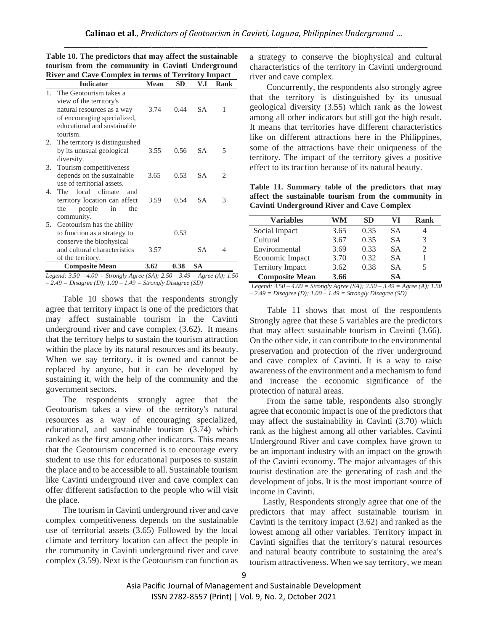|         | <b>Indicator</b>                                                                                                                                 | <b>Mean</b> | <b>SD</b> | V.I       | Rank |
|---------|--------------------------------------------------------------------------------------------------------------------------------------------------|-------------|-----------|-----------|------|
|         | 1. The Geotourism takes a<br>view of the territory's<br>natural resources as a way<br>of encouraging specialized,<br>educational and sustainable | 3.74        | 0.44      | <b>SA</b> | 1    |
|         | tourism.<br>2. The territory is distinguished<br>by its unusual geological<br>diversity.                                                         | 3.55        | 0.56      | <b>SA</b> | 5    |
| 3.      | Tourism competitiveness<br>depends on the sustainable<br>use of territorial assets.                                                              | 3.65        | 0.53      | SA        | 2    |
| $4_{-}$ | The local climate<br>and<br>territory location can affect<br>people<br>the<br>in<br>the<br>community.                                            | 3.59        | 0.54      | <b>SA</b> | 3    |
| 5.      | Geotourism has the ability<br>to function as a strategy to<br>conserve the biophysical<br>and cultural characteristics                           | 3.57        | 0.53      | SА        | 4    |
|         | of the territory.<br><b>Composite Mean</b>                                                                                                       | 3.62        | 0.38      | <b>SA</b> |      |

**Table 10. The predictors that may affect the sustainable tourism from the community in Cavinti Underground River and Cave Complex in terms of Territory Impact**

*Legend: 3.50 – 4.00 = Strongly Agree (SA); 2.50 – 3.49 = Agree (A); 1.50 – 2.49 = Disagree (D); 1.00 – 1.49 = Strongly Disagree (SD)*

Table 10 shows that the respondents strongly agree that territory impact is one of the predictors that may affect sustainable tourism in the Cavinti underground river and cave complex (3.62). It means that the territory helps to sustain the tourism attraction within the place by its natural resources and its beauty. When we say territory, it is owned and cannot be replaced by anyone, but it can be developed by sustaining it, with the help of the community and the government sectors.

The respondents strongly agree that the Geotourism takes a view of the territory's natural resources as a way of encouraging specialized, educational, and sustainable tourism (3.74) which ranked as the first among other indicators. This means that the Geotourism concerned is to encourage every student to use this for educational purposes to sustain the place and to be accessible to all. Sustainable tourism like Cavinti underground river and cave complex can offer different satisfaction to the people who will visit the place.

The tourism in Cavinti underground river and cave complex competitiveness depends on the sustainable use of territorial assets (3.65) Followed by the local climate and territory location can affect the people in the community in Cavinti underground river and cave complex (3.59). Next is the Geotourism can function as a strategy to conserve the biophysical and cultural characteristics of the territory in Cavinti underground river and cave complex.

Concurrently, the respondents also strongly agree that the territory is distinguished by its unusual geological diversity (3.55) which rank as the lowest among all other indicators but still got the high result. It means that territories have different characteristics like on different attractions here in the Philippines, some of the attractions have their uniqueness of the territory. The impact of the territory gives a positive effect to its traction because of its natural beauty.

**Table 11. Summary table of the predictors that may affect the sustainable tourism from the community in Cavinti Underground River and Cave Complex**

| Variables               | WM   | SD   |           | Rank                     |
|-------------------------|------|------|-----------|--------------------------|
| Social Impact           | 3.65 | 0.35 | SА        |                          |
| Cultural                | 3.67 | 0.35 | <b>SA</b> | 3                        |
| Environmental           | 3.69 | 0.33 | <b>SA</b> | $\overline{\mathcal{L}}$ |
| Economic Impact         | 3.70 | 0.32 | <b>SA</b> |                          |
| <b>Territory Impact</b> | 3.62 | 0.38 | SА        | 5                        |
| <b>Composite Mean</b>   | 3.66 |      | SА        |                          |

*Legend: 3.50 – 4.00 = Strongly Agree (SA); 2.50 – 3.49 = Agree (A); 1.50 – 2.49 = Disagree (D); 1.00 – 1.49 = Strongly Disagree (SD)*

Table 11 shows that most of the respondents Strongly agree that these 5 variables are the predictors that may affect sustainable tourism in Cavinti (3.66). On the other side, it can contribute to the environmental preservation and protection of the river underground and cave complex of Cavinti. It is a way to raise awareness of the environment and a mechanism to fund and increase the economic significance of the protection of natural areas.

From the same table, respondents also strongly agree that economic impact is one of the predictors that may affect the sustainability in Cavinti (3.70) which rank as the highest among all other variables. Cavinti Underground River and cave complex have grown to be an important industry with an impact on the growth of the Cavinti economy. The major advantages of this tourist destination are the generating of cash and the development of jobs. It is the most important source of income in Cavinti.

 Lastly, Respondents strongly agree that one of the predictors that may affect sustainable tourism in Cavinti is the territory impact (3.62) and ranked as the lowest among all other variables. Territory impact in Cavinti signifies that the territory's natural resources and natural beauty contribute to sustaining the area's tourism attractiveness. When we say territory, we mean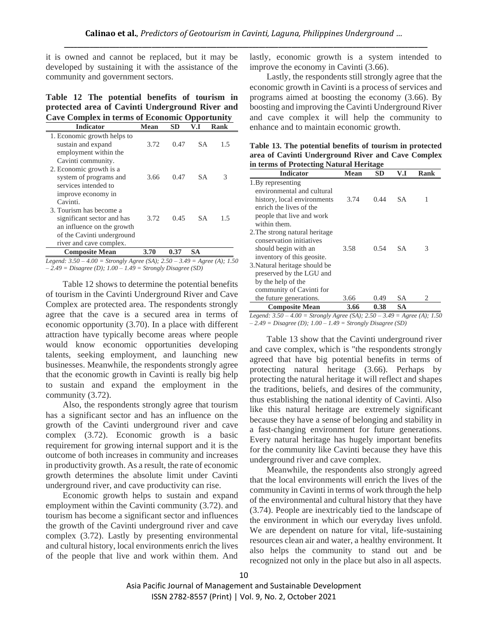it is owned and cannot be replaced, but it may be developed by sustaining it with the assistance of the community and government sectors.

**Table 12 The potential benefits of tourism in protected area of Cavinti Underground River and Cave Complex in terms of Economic Opportunity**

| <b>Indicator</b>                            | Mean | SD   | V.I | Rank |
|---------------------------------------------|------|------|-----|------|
| 1. Economic growth helps to                 |      |      |     |      |
| sustain and expand<br>employment within the | 3.72 | 0.47 | S A | 1.5  |
| Cavinti community.                          |      |      |     |      |
| 2. Economic growth is a                     |      |      |     |      |
| system of programs and                      | 3.66 | 0.47 | SА  | 3    |
| services intended to                        |      |      |     |      |
| improve economy in                          |      |      |     |      |
| Cavinti.                                    |      |      |     |      |
| 3. Tourism has become a                     |      |      |     |      |
| significant sector and has                  | 3.72 | 0.45 | SА  | 1.5  |
| an influence on the growth                  |      |      |     |      |
| of the Cavinti underground                  |      |      |     |      |
| river and cave complex.                     |      |      |     |      |
| <b>Composite Mean</b>                       | 3.70 | 0.37 | SА  |      |

*Legend: 3.50 – 4.00 = Strongly Agree (SA); 2.50 – 3.49 = Agree (A); 1.50 – 2.49 = Disagree (D); 1.00 – 1.49 = Strongly Disagree (SD)*

Table 12 shows to determine the potential benefits of tourism in the Cavinti Underground River and Cave Complex are protected area. The respondents strongly agree that the cave is a secured area in terms of economic opportunity (3.70). In a place with different attraction have typically become areas where people would know economic opportunities developing talents, seeking employment, and launching new businesses. Meanwhile, the respondents strongly agree that the economic growth in Cavinti is really big help to sustain and expand the employment in the community (3.72).

Also, the respondents strongly agree that tourism has a significant sector and has an influence on the growth of the Cavinti underground river and cave complex (3.72). Economic growth is a basic requirement for growing internal support and it is the outcome of both increases in community and increases in productivity growth. As a result, the rate of economic growth determines the absolute limit under Cavinti underground river, and cave productivity can rise.

Economic growth helps to sustain and expand employment within the Cavinti community (3.72). and tourism has become a significant sector and influences the growth of the Cavinti underground river and cave complex (3.72). Lastly by presenting environmental and cultural history, local environments enrich the lives of the people that live and work within them. And lastly, economic growth is a system intended to improve the economy in Cavinti (3.66).

Lastly, the respondents still strongly agree that the economic growth in Cavinti is a process of services and programs aimed at boosting the economy (3.66). By boosting and improving the Cavinti Underground River and cave complex it will help the community to enhance and to maintain economic growth.

**Table 13. The potential benefits of tourism in protected area of Cavinti Underground River and Cave Complex in terms of Protecting Natural Heritage**

| <b>Indicator</b>                                                                                                                                                  | Mean | SD   | V.I       | Rank                          |
|-------------------------------------------------------------------------------------------------------------------------------------------------------------------|------|------|-----------|-------------------------------|
| 1. By representing<br>environmental and cultural<br>history, local environments<br>enrich the lives of the<br>people that live and work                           | 3.74 | 0.44 | SA.       | 1                             |
| within them.<br>2. The strong natural heritage<br>conservation initiatives<br>should begin with an<br>inventory of this geosite.<br>3. Natural heritage should be | 3.58 | 0.54 | <b>SA</b> | 3                             |
| preserved by the LGU and<br>by the help of the<br>community of Cavinti for<br>the future generations.                                                             | 3.66 | 0.49 | SА        | $\mathfrak{D}_{\mathfrak{p}}$ |
| <b>Composite Mean</b>                                                                                                                                             | 3.66 | 0.38 | SА        |                               |

*Legend: 3.50 – 4.00 = Strongly Agree (SA); 2.50 – 3.49 = Agree (A); 1.50 – 2.49 = Disagree (D); 1.00 – 1.49 = Strongly Disagree (SD)*

Table 13 show that the Cavinti underground river and cave complex, which is "the respondents strongly agreed that have big potential benefits in terms of protecting natural heritage (3.66). Perhaps by protecting the natural heritage it will reflect and shapes the traditions, beliefs, and desires of the community, thus establishing the national identity of Cavinti. Also like this natural heritage are extremely significant because they have a sense of belonging and stability in a fast-changing environment for future generations. Every natural heritage has hugely important benefits for the community like Cavinti because they have this underground river and cave complex.

Meanwhile, the respondents also strongly agreed that the local environments will enrich the lives of the community in Cavinti in terms of work through the help of the environmental and cultural history that they have (3.74). People are inextricably tied to the landscape of the environment in which our everyday lives unfold. We are dependent on nature for vital, life-sustaining resources clean air and water, a healthy environment. It also helps the community to stand out and be recognized not only in the place but also in all aspects.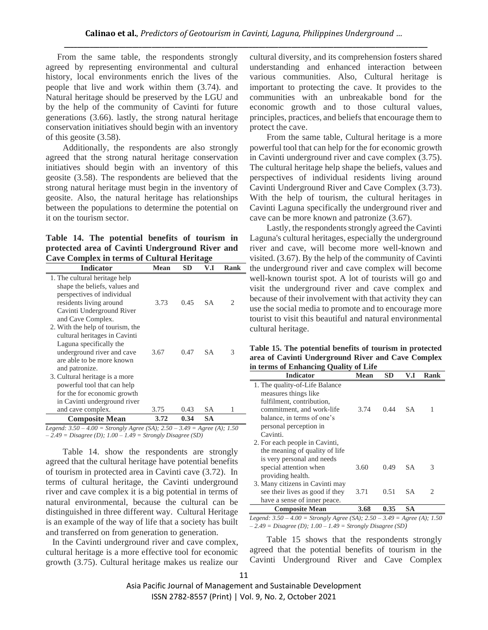From the same table, the respondents strongly agreed by representing environmental and cultural history, local environments enrich the lives of the people that live and work within them (3.74). and Natural heritage should be preserved by the LGU and by the help of the community of Cavinti for future generations (3.66). lastly, the strong natural heritage conservation initiatives should begin with an inventory of this geosite (3.58).

Additionally, the respondents are also strongly agreed that the strong natural heritage conservation initiatives should begin with an inventory of this geosite (3.58). The respondents are believed that the strong natural heritage must begin in the inventory of geosite. Also, the natural heritage has relationships between the populations to determine the potential on it on the tourism sector.

**Table 14. The potential benefits of tourism in protected area of Cavinti Underground River and Cave Complex in terms of Cultural Heritage**

| <b>Indicator</b>                 | Mean | <b>SD</b> | V.I       | Rank |
|----------------------------------|------|-----------|-----------|------|
| 1. The cultural heritage help    |      |           |           |      |
| shape the beliefs, values and    |      |           |           |      |
| perspectives of individual       |      |           |           |      |
| residents living around          | 3.73 | 0.45      | <b>SA</b> | 2    |
| Cavinti Underground River        |      |           |           |      |
| and Cave Complex.                |      |           |           |      |
| 2. With the help of tourism, the |      |           |           |      |
| cultural heritages in Cavinti    |      |           |           |      |
| Laguna specifically the          |      |           |           |      |
| underground river and cave       | 3.67 | 0.47      | <b>SA</b> | 3    |
| are able to be more known        |      |           |           |      |
| and patronize.                   |      |           |           |      |
| 3. Cultural heritage is a more   |      |           |           |      |
| powerful tool that can help      |      |           |           |      |
| for the for economic growth      |      |           |           |      |
| in Cavinti underground river     |      |           |           |      |
| and cave complex.                | 3.75 | 0.43      | <b>SA</b> | 1    |
| <b>Composite Mean</b>            | 3.72 | 0.34      | SA        |      |

*Legend: 3.50 – 4.00 = Strongly Agree (SA); 2.50 – 3.49 = Agree (A); 1.50 – 2.49 = Disagree (D); 1.00 – 1.49 = Strongly Disagree (SD)*

Table 14. show the respondents are strongly agreed that the cultural heritage have potential benefits of tourism in protected area in Cavinti cave (3.72). In terms of cultural heritage, the Cavinti underground river and cave complex it is a big potential in terms of natural environmental, because the cultural can be distinguished in three different way. Cultural Heritage is an example of the way of life that a society has built and transferred on from generation to generation.

 In the Cavinti underground river and cave complex, cultural heritage is a more effective tool for economic growth (3.75). Cultural heritage makes us realize our cultural diversity, and its comprehension fosters shared understanding and enhanced interaction between various communities. Also, Cultural heritage is important to protecting the cave. It provides to the communities with an unbreakable bond for the economic growth and to those cultural values, principles, practices, and beliefs that encourage them to protect the cave.

From the same table, Cultural heritage is a more powerful tool that can help for the for economic growth in Cavinti underground river and cave complex (3.75). The cultural heritage help shape the beliefs, values and perspectives of individual residents living around Cavinti Underground River and Cave Complex (3.73). With the help of tourism, the cultural heritages in Cavinti Laguna specifically the underground river and cave can be more known and patronize (3.67).

Lastly, the respondents strongly agreed the Cavinti Laguna's cultural heritages, especially the underground river and cave, will become more well-known and visited. (3.67). By the help of the community of Cavinti the underground river and cave complex will become well-known tourist spot. A lot of tourists will go and visit the underground river and cave complex and because of their involvement with that activity they can use the social media to promote and to encourage more tourist to visit this beautiful and natural environmental cultural heritage.

| Table 15. The potential benefits of tourism in protected |
|----------------------------------------------------------|
| area of Cavinti Underground River and Cave Complex       |
| in terms of Enhancing Quality of Life                    |

| <b>Indicator</b>                | Mean | SD.  | V.I       | Rank                        |
|---------------------------------|------|------|-----------|-----------------------------|
| 1. The quality-of-Life Balance  |      |      |           |                             |
| measures things like            |      |      |           |                             |
| fulfilment, contribution,       |      |      |           |                             |
| commitment, and work-life       | 3.74 | 0.44 | SA.       |                             |
| balance, in terms of one's      |      |      |           |                             |
| personal perception in          |      |      |           |                             |
| Cavinti.                        |      |      |           |                             |
| 2. For each people in Cavinti,  |      |      |           |                             |
| the meaning of quality of life  |      |      |           |                             |
| is very personal and needs      |      |      |           |                             |
| special attention when          | 3.60 | 0.49 | SА        | 3                           |
| providing health.               |      |      |           |                             |
| 3. Many citizens in Cavinti may |      |      |           |                             |
| see their lives as good if they | 3.71 | 0.51 | SА        | $\mathcal{D}_{\mathcal{L}}$ |
| have a sense of inner peace.    |      |      |           |                             |
| <b>Composite Mean</b>           | 3.68 | 0.35 | <b>SA</b> |                             |

*Legend: 3.50 – 4.00 = Strongly Agree (SA); 2.50 – 3.49 = Agree (A); 1.50 – 2.49 = Disagree (D); 1.00 – 1.49 = Strongly Disagree (SD)*

Table 15 shows that the respondents strongly agreed that the potential benefits of tourism in the Cavinti Underground River and Cave Complex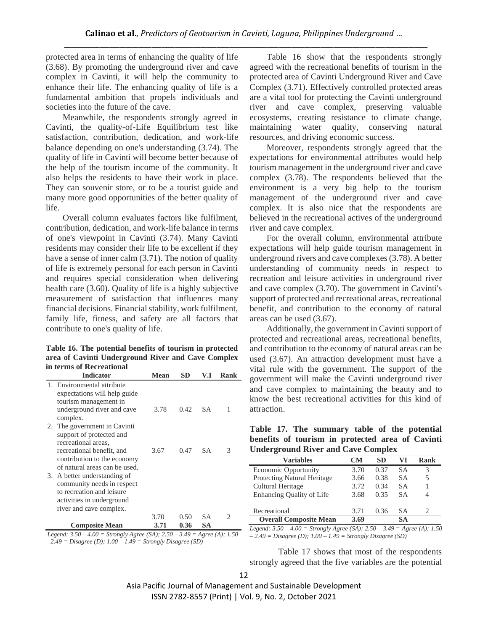protected area in terms of enhancing the quality of life (3.68). By promoting the underground river and cave complex in Cavinti, it will help the community to enhance their life. The enhancing quality of life is a fundamental ambition that propels individuals and societies into the future of the cave.

Meanwhile, the respondents strongly agreed in Cavinti, the quality-of-Life Equilibrium test like satisfaction, contribution, dedication, and work-life balance depending on one's understanding (3.74). The quality of life in Cavinti will become better because of the help of the tourism income of the community. It also helps the residents to have their work in place. They can souvenir store, or to be a tourist guide and many more good opportunities of the better quality of life.

Overall column evaluates factors like fulfilment, contribution, dedication, and work-life balance in terms of one's viewpoint in Cavinti (3.74). Many Cavinti residents may consider their life to be excellent if they have a sense of inner calm  $(3.71)$ . The notion of quality of life is extremely personal for each person in Cavinti and requires special consideration when delivering health care (3.60). Quality of life is a highly subjective measurement of satisfaction that influences many financial decisions. Financial stability, work fulfilment, family life, fitness, and safety are all factors that contribute to one's quality of life.

**Table 16. The potential benefits of tourism in protected area of Cavinti Underground River and Cave Complex in terms of Recreational**

|    | <b>Indicator</b>                                                                                                  | <b>Mean</b> | <b>SD</b> | V.I       | Rank |
|----|-------------------------------------------------------------------------------------------------------------------|-------------|-----------|-----------|------|
|    | 1. Environmental attribute<br>expectations will help guide<br>tourism management in                               |             |           |           |      |
|    | underground river and cave<br>complex.                                                                            | 3.78        | 0.42      | S A       | 1    |
| 2. | The government in Cavinti<br>support of protected and<br>recreational areas.                                      |             |           |           |      |
|    | recreational benefit, and<br>contribution to the economy<br>of natural areas can be used.                         | 3.67        | 0.47      | SА        | 3    |
| 3. | A better understanding of<br>community needs in respect<br>to recreation and leisure<br>activities in underground |             |           |           |      |
|    | river and cave complex.                                                                                           |             |           |           |      |
|    |                                                                                                                   | 3.70        | 0.50      | SА        | 2    |
|    | <b>Composite Mean</b>                                                                                             | 3.71        | 0.36      | <b>SA</b> |      |

*Legend: 3.50 – 4.00 = Strongly Agree (SA); 2.50 – 3.49 = Agree (A); 1.50 – 2.49 = Disagree (D); 1.00 – 1.49 = Strongly Disagree (SD)*

Table 16 show that the respondents strongly agreed with the recreational benefits of tourism in the protected area of Cavinti Underground River and Cave Complex (3.71). Effectively controlled protected areas are a vital tool for protecting the Cavinti underground river and cave complex, preserving valuable ecosystems, creating resistance to climate change, maintaining water quality, conserving natural resources, and driving economic success.

Moreover, respondents strongly agreed that the expectations for environmental attributes would help tourism management in the underground river and cave complex (3.78). The respondents believed that the environment is a very big help to the tourism management of the underground river and cave complex. It is also nice that the respondents are believed in the recreational actives of the underground river and cave complex.

For the overall column, environmental attribute expectations will help guide tourism management in underground rivers and cave complexes (3.78). A better understanding of community needs in respect to recreation and leisure activities in underground river and cave complex (3.70). The government in Cavinti's support of protected and recreational areas, recreational benefit, and contribution to the economy of natural areas can be used (3.67).

Additionally, the government in Cavinti support of protected and recreational areas, recreational benefits, and contribution to the economy of natural areas can be used (3.67). An attraction development must have a vital rule with the government. The support of the government will make the Cavinti underground river and cave complex to maintaining the beauty and to know the best recreational activities for this kind of attraction.

|  |  |                                           |  | Table 17. The summary table of the potential     |
|--|--|-------------------------------------------|--|--------------------------------------------------|
|  |  |                                           |  | benefits of tourism in protected area of Cavinti |
|  |  | <b>Underground River and Cave Complex</b> |  |                                                  |

| <b>Variables</b>                                                             | CМ   | <b>SD</b> | VI        | Rank                          |
|------------------------------------------------------------------------------|------|-----------|-----------|-------------------------------|
| <b>Economic Opportunity</b>                                                  | 3.70 | 0.37      | SА        | 3                             |
| <b>Protecting Natural Heritage</b>                                           | 3.66 | 0.38      | SА        | 5                             |
| Cultural Heritage                                                            | 3.72 | 0.34      | SА        |                               |
| <b>Enhancing Quality of Life</b>                                             | 3.68 | 0.35      | SА        | 4                             |
| Recreational                                                                 | 3.71 | 0.36      | <b>SA</b> | $\mathfrak{D}_{\mathfrak{p}}$ |
| <b>Overall Composite Mean</b>                                                | 3.69 |           | SА        |                               |
| Legend: $3.50 - 4.00 =$ Strongly Agree (SA); $2.50 - 3.49 =$ Agree (A); 1.50 |      |           |           |                               |

*– 2.49 = Disagree (D); 1.00 – 1.49 = Strongly Disagree (SD)*

Table 17 shows that most of the respondents strongly agreed that the five variables are the potential

Asia Pacific Journal of Management and Sustainable Development ISSN 2782-8557 (Print) | Vol. 9, No. 2, October 2021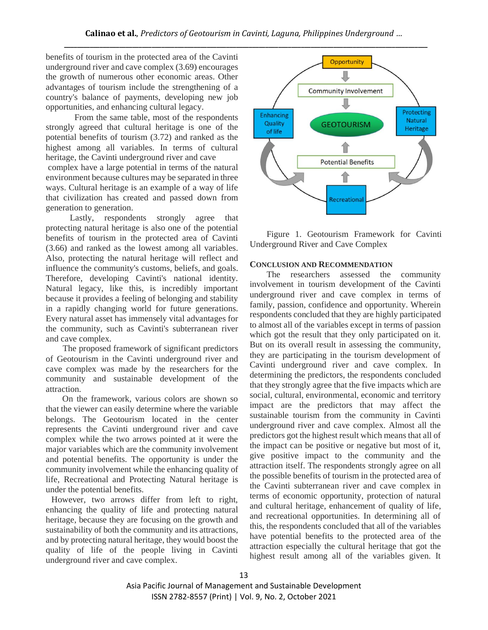benefits of tourism in the protected area of the Cavinti underground river and cave complex (3.69) encourages the growth of numerous other economic areas. Other advantages of tourism include the strengthening of a country's balance of payments, developing new job opportunities, and enhancing cultural legacy.

From the same table, most of the respondents strongly agreed that cultural heritage is one of the potential benefits of tourism (3.72) and ranked as the highest among all variables. In terms of cultural heritage, the Cavinti underground river and cave

complex have a large potential in terms of the natural environment because cultures may be separated in three ways. Cultural heritage is an example of a way of life that civilization has created and passed down from generation to generation.

 Lastly, respondents strongly agree that protecting natural heritage is also one of the potential benefits of tourism in the protected area of Cavinti (3.66) and ranked as the lowest among all variables. Also, protecting the natural heritage will reflect and influence the community's customs, beliefs, and goals. Therefore, developing Cavinti's national identity. Natural legacy, like this, is incredibly important because it provides a feeling of belonging and stability in a rapidly changing world for future generations. Every natural asset has immensely vital advantages for the community, such as Cavinti's subterranean river and cave complex.

The proposed framework of significant predictors of Geotourism in the Cavinti underground river and cave complex was made by the researchers for the community and sustainable development of the attraction.

 On the framework, various colors are shown so that the viewer can easily determine where the variable belongs. The Geotourism located in the center represents the Cavinti underground river and cave complex while the two arrows pointed at it were the major variables which are the community involvement and potential benefits. The opportunity is under the community involvement while the enhancing quality of life, Recreational and Protecting Natural heritage is under the potential benefits.

However, two arrows differ from left to right, enhancing the quality of life and protecting natural heritage, because they are focusing on the growth and sustainability of both the community and its attractions, and by protecting natural heritage, they would boost the quality of life of the people living in Cavinti underground river and cave complex.



Figure 1. Geotourism Framework for Cavinti Underground River and Cave Complex

#### **CONCLUSION AND RECOMMENDATION**

The researchers assessed the community involvement in tourism development of the Cavinti underground river and cave complex in terms of family, passion, confidence and opportunity. Wherein respondents concluded that they are highly participated to almost all of the variables except in terms of passion which got the result that they only participated on it. But on its overall result in assessing the community, they are participating in the tourism development of Cavinti underground river and cave complex. In determining the predictors, the respondents concluded that they strongly agree that the five impacts which are social, cultural, environmental, economic and territory impact are the predictors that may affect the sustainable tourism from the community in Cavinti underground river and cave complex. Almost all the predictors got the highest result which means that all of the impact can be positive or negative but most of it, give positive impact to the community and the attraction itself. The respondents strongly agree on all the possible benefits of tourism in the protected area of the Cavinti subterranean river and cave complex in terms of economic opportunity, protection of natural and cultural heritage, enhancement of quality of life, and recreational opportunities. In determining all of this, the respondents concluded that all of the variables have potential benefits to the protected area of the attraction especially the cultural heritage that got the highest result among all of the variables given. It